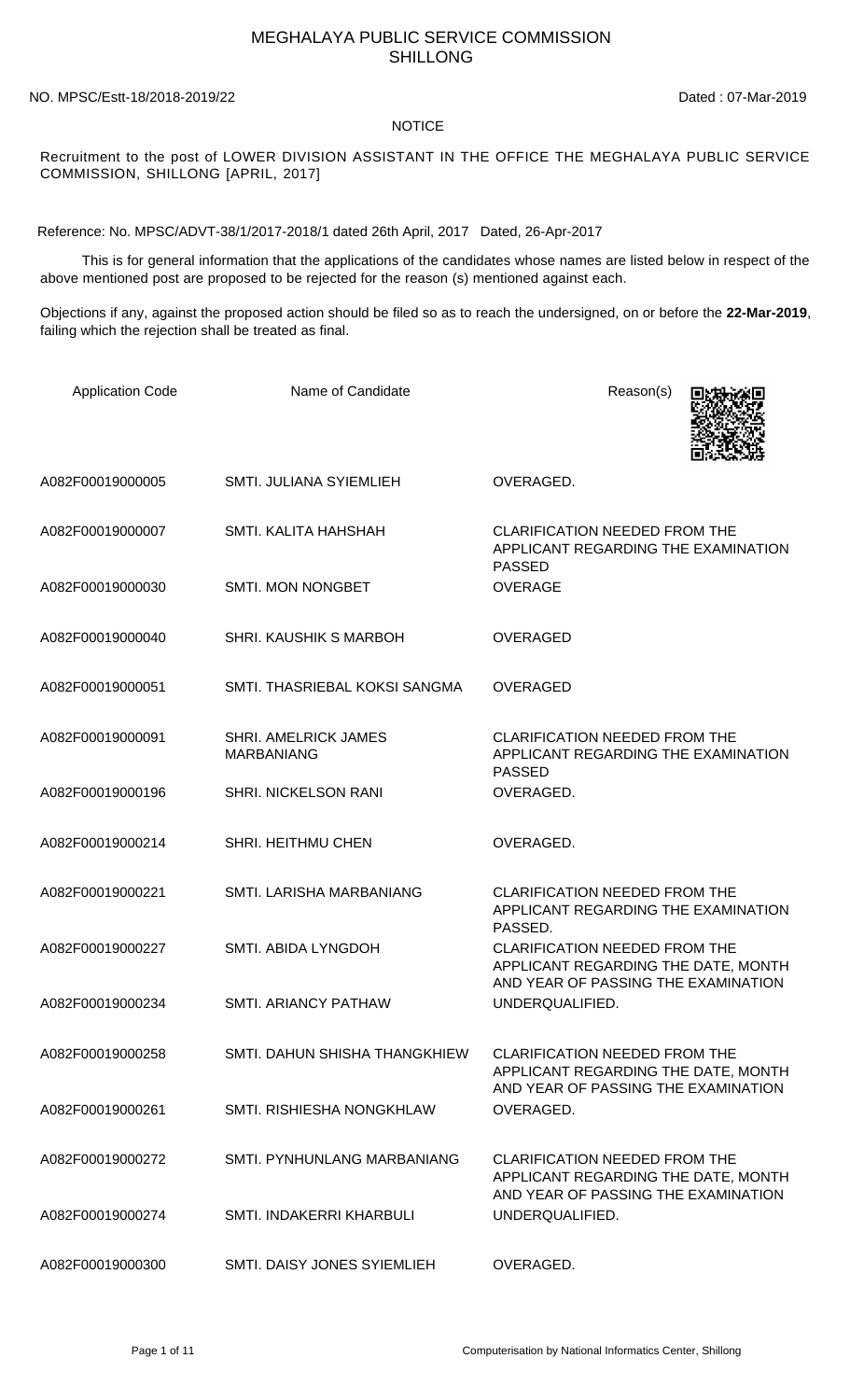## MEGHALAYA PUBLIC SERVICE COMMISSION SHILLONG

## NO. MPSC/Estt-18/2018-2019/22 Dated : 07-Mar-2019

## **NOTICE**

Recruitment to the post of LOWER DIVISION ASSISTANT IN THE OFFICE THE MEGHALAYA PUBLIC SERVICE COMMISSION, SHILLONG [APRIL, 2017]

Reference: No. MPSC/ADVT-38/1/2017-2018/1 dated 26th April, 2017 Dated, 26-Apr-2017

 This is for general information that the applications of the candidates whose names are listed below in respect of the above mentioned post are proposed to be rejected for the reason (s) mentioned against each.

Objections if any, against the proposed action should be filed so as to reach the undersigned, on or before the **22-Mar-2019**, failing which the rejection shall be treated as final.

| <b>Application Code</b> | Name of Candidate                                | Reason(s)                                                                                                          |
|-------------------------|--------------------------------------------------|--------------------------------------------------------------------------------------------------------------------|
| A082F00019000005        | SMTI. JULIANA SYIEMLIEH                          | OVERAGED.                                                                                                          |
| A082F00019000007        | SMTI. KALITA HAHSHAH                             | <b>CLARIFICATION NEEDED FROM THE</b><br>APPLICANT REGARDING THE EXAMINATION<br><b>PASSED</b>                       |
| A082F00019000030        | <b>SMTI. MON NONGBET</b>                         | <b>OVERAGE</b>                                                                                                     |
| A082F00019000040        | <b>SHRI. KAUSHIK S MARBOH</b>                    | <b>OVERAGED</b>                                                                                                    |
| A082F00019000051        | SMTI. THASRIEBAL KOKSI SANGMA                    | <b>OVERAGED</b>                                                                                                    |
| A082F00019000091        | <b>SHRI. AMELRICK JAMES</b><br><b>MARBANIANG</b> | <b>CLARIFICATION NEEDED FROM THE</b><br>APPLICANT REGARDING THE EXAMINATION<br><b>PASSED</b>                       |
| A082F00019000196        | <b>SHRI. NICKELSON RANI</b>                      | OVERAGED.                                                                                                          |
| A082F00019000214        | SHRI. HEITHMU CHEN                               | OVERAGED.                                                                                                          |
| A082F00019000221        | SMTI. LARISHA MARBANIANG                         | <b>CLARIFICATION NEEDED FROM THE</b><br>APPLICANT REGARDING THE EXAMINATION<br>PASSED.                             |
| A082F00019000227        | SMTI. ABIDA LYNGDOH                              | <b>CLARIFICATION NEEDED FROM THE</b><br>APPLICANT REGARDING THE DATE, MONTH<br>AND YEAR OF PASSING THE EXAMINATION |
| A082F00019000234        | SMTI. ARIANCY PATHAW                             | UNDERQUALIFIED.                                                                                                    |
| A082F00019000258        | SMTI, DAHUN SHISHA THANGKHIEW                    | <b>CLARIFICATION NEEDED FROM THE</b><br>APPLICANT REGARDING THE DATE, MONTH<br>AND YEAR OF PASSING THE EXAMINATION |
| A082F00019000261        | SMTI. RISHIESHA NONGKHLAW                        | OVERAGED.                                                                                                          |
| A082F00019000272        | SMTI. PYNHUNLANG MARBANIANG                      | <b>CLARIFICATION NEEDED FROM THE</b><br>APPLICANT REGARDING THE DATE, MONTH<br>AND YEAR OF PASSING THE EXAMINATION |
| A082F00019000274        | SMTI. INDAKERRI KHARBULI                         | UNDERQUALIFIED.                                                                                                    |
| A082F00019000300        | SMTI. DAISY JONES SYIEMLIEH                      | OVERAGED.                                                                                                          |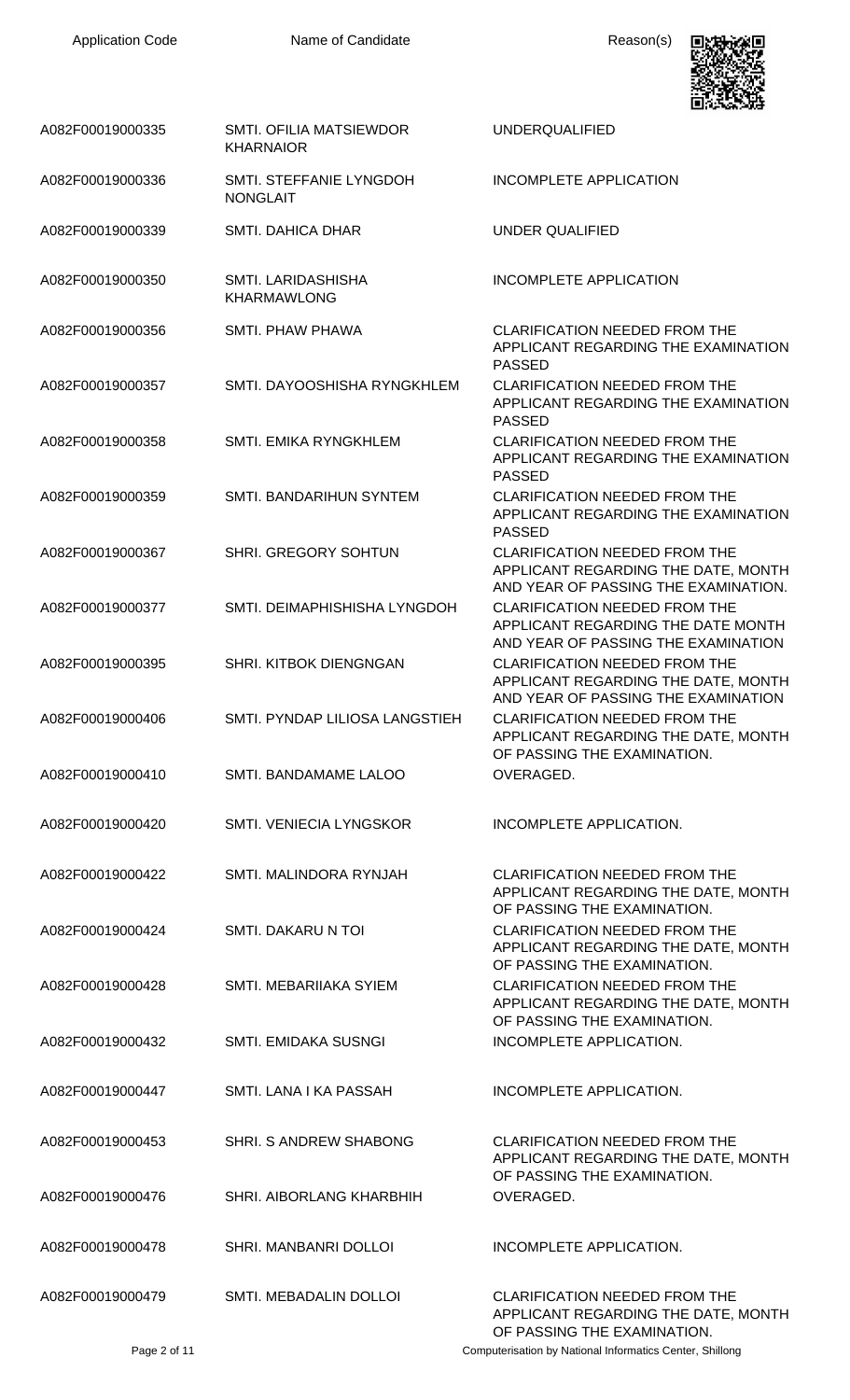

| A082F00019000335 | <b>SMTI. OFILIA MATSIEWDOR</b><br><b>KHARNAIOR</b> | <b>UNDERQUALIFIED</b>                                                                                                                     |
|------------------|----------------------------------------------------|-------------------------------------------------------------------------------------------------------------------------------------------|
| A082F00019000336 | SMTI. STEFFANIE LYNGDOH<br><b>NONGLAIT</b>         | <b>INCOMPLETE APPLICATION</b>                                                                                                             |
| A082F00019000339 | <b>SMTI. DAHICA DHAR</b>                           | UNDER QUALIFIED                                                                                                                           |
| A082F00019000350 | SMTI. LARIDASHISHA<br><b>KHARMAWLONG</b>           | <b>INCOMPLETE APPLICATION</b>                                                                                                             |
| A082F00019000356 | SMTI. PHAW PHAWA                                   | <b>CLARIFICATION NEEDED FROM THE</b><br>APPLICANT REGARDING THE EXAMINATION<br><b>PASSED</b>                                              |
| A082F00019000357 | SMTI. DAYOOSHISHA RYNGKHLEM                        | <b>CLARIFICATION NEEDED FROM THE</b><br>APPLICANT REGARDING THE EXAMINATION<br><b>PASSED</b>                                              |
| A082F00019000358 | <b>SMTI. EMIKA RYNGKHLEM</b>                       | <b>CLARIFICATION NEEDED FROM THE</b><br>APPLICANT REGARDING THE EXAMINATION                                                               |
| A082F00019000359 | SMTI. BANDARIHUN SYNTEM                            | <b>PASSED</b><br><b>CLARIFICATION NEEDED FROM THE</b><br>APPLICANT REGARDING THE EXAMINATION                                              |
| A082F00019000367 | <b>SHRI. GREGORY SOHTUN</b>                        | <b>PASSED</b><br><b>CLARIFICATION NEEDED FROM THE</b><br>APPLICANT REGARDING THE DATE, MONTH                                              |
| A082F00019000377 | SMTI. DEIMAPHISHISHA LYNGDOH                       | AND YEAR OF PASSING THE EXAMINATION.<br><b>CLARIFICATION NEEDED FROM THE</b><br>APPLICANT REGARDING THE DATE MONTH                        |
| A082F00019000395 | SHRI. KITBOK DIENGNGAN                             | AND YEAR OF PASSING THE EXAMINATION<br><b>CLARIFICATION NEEDED FROM THE</b><br>APPLICANT REGARDING THE DATE, MONTH                        |
| A082F00019000406 | SMTI. PYNDAP LILIOSA LANGSTIEH                     | AND YEAR OF PASSING THE EXAMINATION<br><b>CLARIFICATION NEEDED FROM THE</b><br>APPLICANT REGARDING THE DATE, MONTH                        |
| A082F00019000410 | SMTI. BANDAMAME LALOO                              | OF PASSING THE EXAMINATION.<br>OVERAGED.                                                                                                  |
| A082F00019000420 | SMTI. VENIECIA LYNGSKOR                            | INCOMPLETE APPLICATION.                                                                                                                   |
| A082F00019000422 | SMTI. MALINDORA RYNJAH                             | <b>CLARIFICATION NEEDED FROM THE</b><br>APPLICANT REGARDING THE DATE, MONTH<br>OF PASSING THE EXAMINATION.                                |
| A082F00019000424 | SMTI. DAKARU N TOI                                 | <b>CLARIFICATION NEEDED FROM THE</b><br>APPLICANT REGARDING THE DATE, MONTH                                                               |
| A082F00019000428 | SMTI, MEBARIIAKA SYIEM                             | OF PASSING THE EXAMINATION.<br><b>CLARIFICATION NEEDED FROM THE</b><br>APPLICANT REGARDING THE DATE, MONTH<br>OF PASSING THE EXAMINATION. |
| A082F00019000432 | SMTI. EMIDAKA SUSNGI                               | INCOMPLETE APPLICATION.                                                                                                                   |
| A082F00019000447 | SMTI. LANA I KA PASSAH                             | INCOMPLETE APPLICATION.                                                                                                                   |
| A082F00019000453 | SHRI. S ANDREW SHABONG                             | <b>CLARIFICATION NEEDED FROM THE</b><br>APPLICANT REGARDING THE DATE, MONTH<br>OF PASSING THE EXAMINATION.                                |
| A082F00019000476 | SHRI. AIBORLANG KHARBHIH                           | OVERAGED.                                                                                                                                 |
| A082F00019000478 | SHRI. MANBANRI DOLLOI                              | <b>INCOMPLETE APPLICATION.</b>                                                                                                            |
| A082F00019000479 | SMTI. MEBADALIN DOLLOI                             | <b>CLARIFICATION NEEDED FROM THE</b><br>APPLICANT REGARDING THE DATE, MONTH<br>OF PASSING THE EXAMINATION.                                |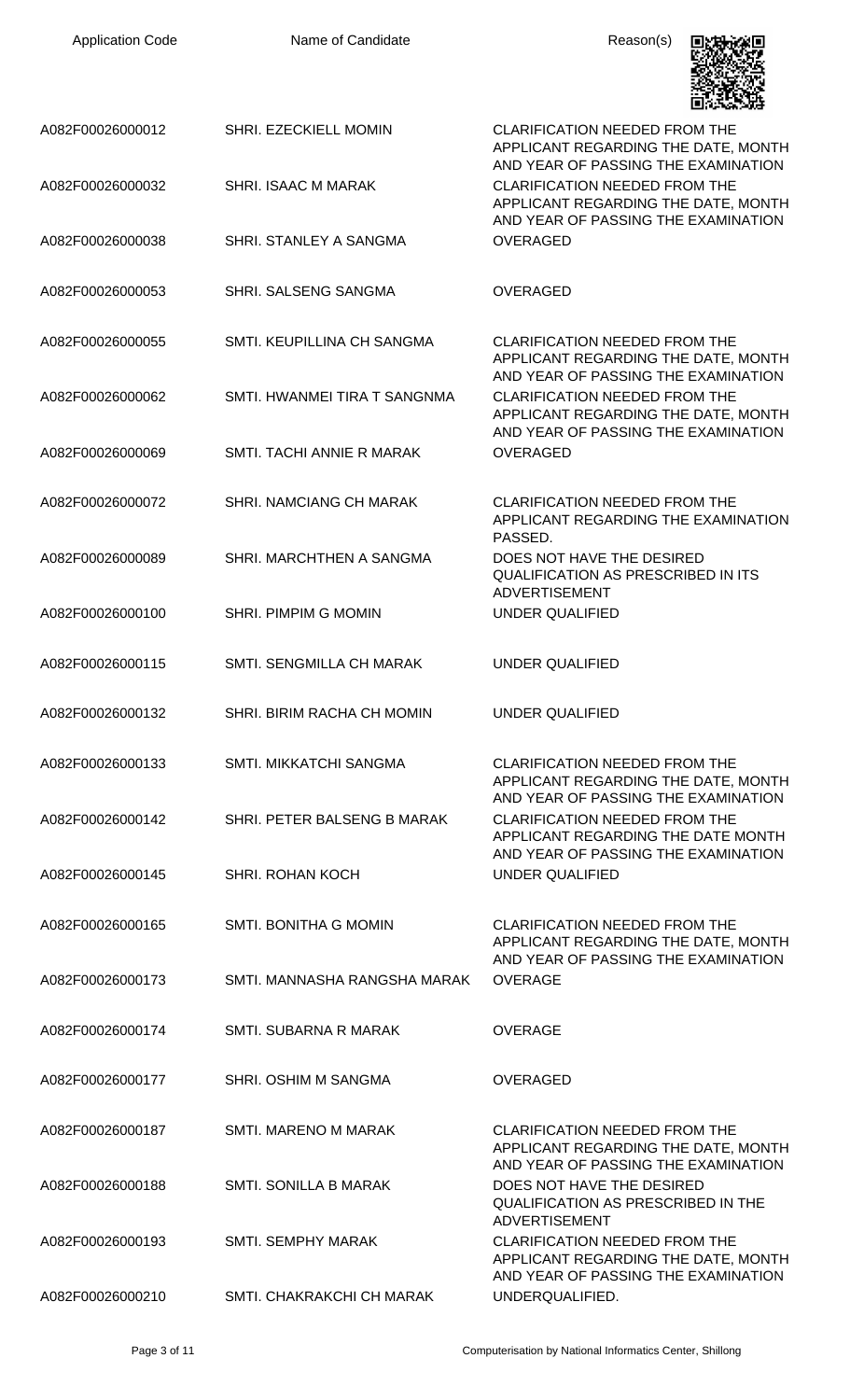| <b>Application Code</b> | Name of Candidate            | Reason(s)                                                                                                          |
|-------------------------|------------------------------|--------------------------------------------------------------------------------------------------------------------|
| A082F00026000012        | <b>SHRI. EZECKIELL MOMIN</b> | <b>CLARIFICATION NEEDED FROM THE</b><br>APPLICANT REGARDING THE DATE, MONTH<br>AND YEAR OF PASSING THE EXAMINATION |
| A082F00026000032        | SHRI. ISAAC M MARAK          | <b>CLARIFICATION NEEDED FROM THE</b><br>APPLICANT REGARDING THE DATE, MONTH<br>AND YEAR OF PASSING THE EXAMINATION |
| A082F00026000038        | SHRI. STANLEY A SANGMA       | <b>OVERAGED</b>                                                                                                    |
| A082F00026000053        | SHRI. SALSENG SANGMA         | <b>OVERAGED</b>                                                                                                    |
| A082F00026000055        | SMTI. KEUPILLINA CH SANGMA   | <b>CLARIFICATION NEEDED FROM THE</b><br>APPLICANT REGARDING THE DATE, MONTH<br>AND YEAR OF PASSING THE EXAMINATION |
| A082F00026000062        | SMTI. HWANMEI TIRA T SANGNMA | <b>CLARIFICATION NEEDED FROM THE</b><br>APPLICANT REGARDING THE DATE, MONTH<br>AND YEAR OF PASSING THE EXAMINATION |
| A082F00026000069        | SMTI. TACHI ANNIE R MARAK    | <b>OVERAGED</b>                                                                                                    |
| A082F00026000072        | SHRI. NAMCIANG CH MARAK      | <b>CLARIFICATION NEEDED FROM THE</b><br>APPLICANT REGARDING THE EXAMINATION<br>PASSED.                             |
| A082F00026000089        | SHRI. MARCHTHEN A SANGMA     | DOES NOT HAVE THE DESIRED<br><b>QUALIFICATION AS PRESCRIBED IN ITS</b><br><b>ADVERTISEMENT</b>                     |
| A082F00026000100        | <b>SHRI. PIMPIM G MOMIN</b>  | <b>UNDER QUALIFIED</b>                                                                                             |
| A082F00026000115        | SMTI. SENGMILLA CH MARAK     | <b>UNDER QUALIFIED</b>                                                                                             |
| A082F00026000132        | SHRI. BIRIM RACHA CH MOMIN   | <b>UNDER QUALIFIED</b>                                                                                             |
| A082F00026000133        | SMTI. MIKKATCHI SANGMA       | <b>CLARIFICATION NEEDED FROM THE</b><br>APPLICANT REGARDING THE DATE, MONTH<br>AND YEAR OF PASSING THE EXAMINATION |
| A082F00026000142        | SHRI. PETER BALSENG B MARAK  | <b>CLARIFICATION NEEDED FROM THE</b><br>APPLICANT REGARDING THE DATE MONTH<br>AND YEAR OF PASSING THE EXAMINATION  |
| A082F00026000145        | <b>SHRI. ROHAN KOCH</b>      | UNDER QUALIFIED                                                                                                    |
| A082F00026000165        | SMTI. BONITHA G MOMIN        | <b>CLARIFICATION NEEDED FROM THE</b><br>APPLICANT REGARDING THE DATE, MONTH<br>AND YEAR OF PASSING THE EXAMINATION |
| A082F00026000173        | SMTI. MANNASHA RANGSHA MARAK | <b>OVERAGE</b>                                                                                                     |
| A082F00026000174        | SMTI. SUBARNA R MARAK        | <b>OVERAGE</b>                                                                                                     |
| A082F00026000177        | SHRI. OSHIM M SANGMA         | <b>OVERAGED</b>                                                                                                    |
| A082F00026000187        | SMTI. MARENO M MARAK         | <b>CLARIFICATION NEEDED FROM THE</b><br>APPLICANT REGARDING THE DATE, MONTH<br>AND YEAR OF PASSING THE EXAMINATION |
| A082F00026000188        | <b>SMTI. SONILLA B MARAK</b> | DOES NOT HAVE THE DESIRED<br><b>QUALIFICATION AS PRESCRIBED IN THE</b><br><b>ADVERTISEMENT</b>                     |
| A082F00026000193        | <b>SMTI, SEMPHY MARAK</b>    | <b>CLARIFICATION NEEDED FROM THE</b><br>APPLICANT REGARDING THE DATE, MONTH<br>AND YEAR OF PASSING THE EXAMINATION |
| A082F00026000210        | SMTI. CHAKRAKCHI CH MARAK    | UNDERQUALIFIED.                                                                                                    |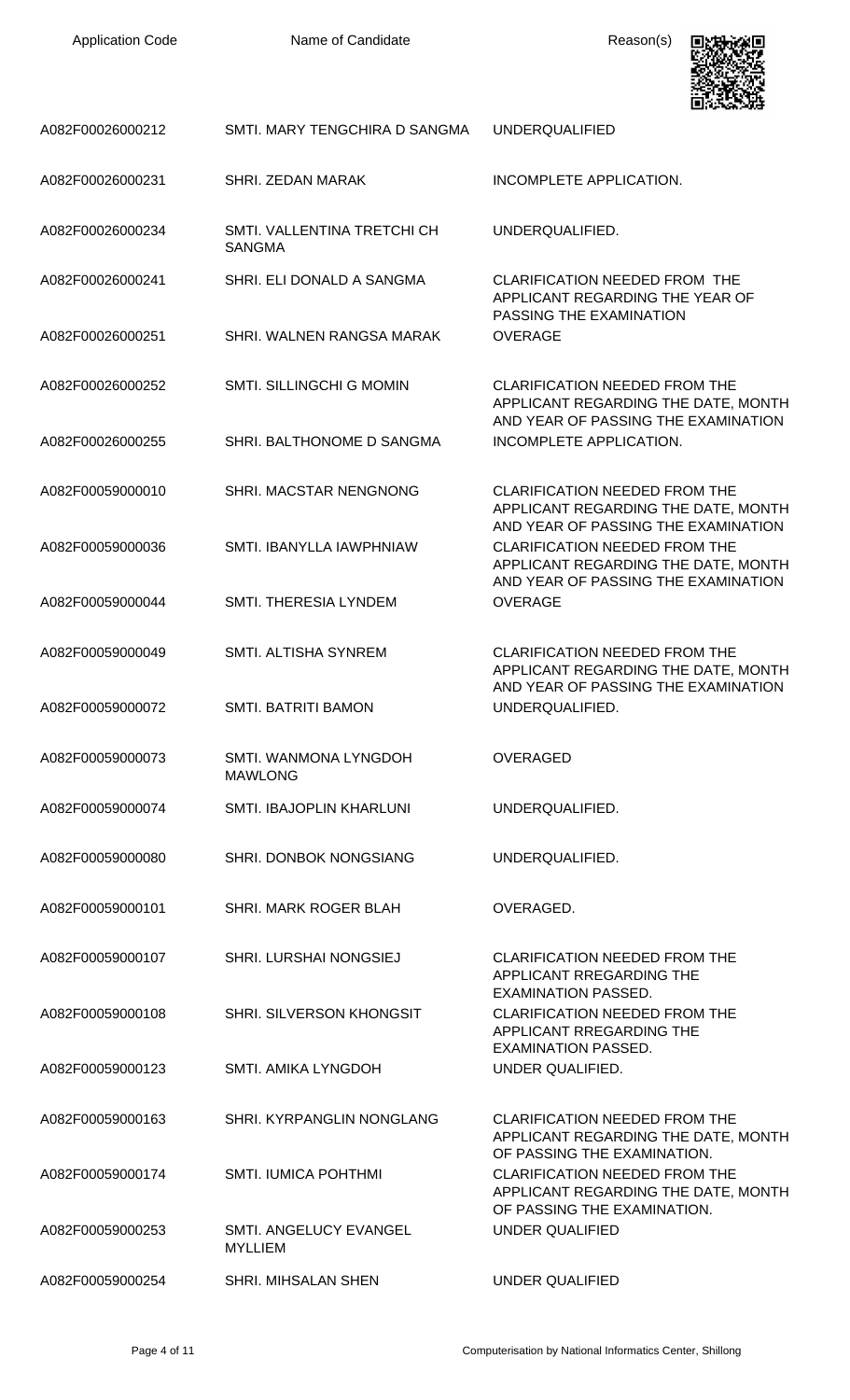Application Code **Name of Candidate Name of Candidate** Reason(s)



| A082F00026000212 | SMTI. MARY TENGCHIRA D SANGMA                | <b>UNDERQUALIFIED</b>                                                                                              |
|------------------|----------------------------------------------|--------------------------------------------------------------------------------------------------------------------|
| A082F00026000231 | SHRI, ZEDAN MARAK                            | INCOMPLETE APPLICATION.                                                                                            |
| A082F00026000234 | SMTI, VALLENTINA TRETCHI CH<br><b>SANGMA</b> | UNDERQUALIFIED.                                                                                                    |
| A082F00026000241 | SHRI. ELI DONALD A SANGMA                    | <b>CLARIFICATION NEEDED FROM THE</b><br>APPLICANT REGARDING THE YEAR OF                                            |
| A082F00026000251 | SHRI. WALNEN RANGSA MARAK                    | PASSING THE EXAMINATION<br><b>OVERAGE</b>                                                                          |
| A082F00026000252 | <b>SMTI. SILLINGCHI G MOMIN</b>              | <b>CLARIFICATION NEEDED FROM THE</b><br>APPLICANT REGARDING THE DATE, MONTH                                        |
| A082F00026000255 | SHRI. BALTHONOME D SANGMA                    | AND YEAR OF PASSING THE EXAMINATION<br>INCOMPLETE APPLICATION.                                                     |
| A082F00059000010 | SHRI. MACSTAR NENGNONG                       | <b>CLARIFICATION NEEDED FROM THE</b><br>APPLICANT REGARDING THE DATE, MONTH                                        |
| A082F00059000036 | SMTI. IBANYLLA IAWPHNIAW                     | AND YEAR OF PASSING THE EXAMINATION<br><b>CLARIFICATION NEEDED FROM THE</b><br>APPLICANT REGARDING THE DATE, MONTH |
| A082F00059000044 | <b>SMTI. THERESIA LYNDEM</b>                 | AND YEAR OF PASSING THE EXAMINATION<br><b>OVERAGE</b>                                                              |
| A082F00059000049 | <b>SMTI. ALTISHA SYNREM</b>                  | <b>CLARIFICATION NEEDED FROM THE</b><br>APPLICANT REGARDING THE DATE, MONTH                                        |
| A082F00059000072 | <b>SMTI. BATRITI BAMON</b>                   | AND YEAR OF PASSING THE EXAMINATION<br>UNDERQUALIFIED.                                                             |
| A082F00059000073 | SMTI. WANMONA LYNGDOH<br><b>MAWLONG</b>      | <b>OVERAGED</b>                                                                                                    |
| A082F00059000074 | <b>SMTI. IBAJOPLIN KHARLUNI</b>              | UNDERQUALIFIED.                                                                                                    |
| A082F00059000080 | SHRI. DONBOK NONGSIANG                       | UNDERQUALIFIED.                                                                                                    |
| A082F00059000101 | SHRI. MARK ROGER BLAH                        | OVERAGED.                                                                                                          |
| A082F00059000107 | SHRI. LURSHAI NONGSIEJ                       | <b>CLARIFICATION NEEDED FROM THE</b><br>APPLICANT RREGARDING THE<br>EXAMINATION PASSED.                            |
| A082F00059000108 | <b>SHRI. SILVERSON KHONGSIT</b>              | <b>CLARIFICATION NEEDED FROM THE</b><br>APPLICANT RREGARDING THE                                                   |
| A082F00059000123 | SMTI. AMIKA LYNGDOH                          | <b>EXAMINATION PASSED.</b><br>UNDER QUALIFIED.                                                                     |
| A082F00059000163 | <b>SHRI. KYRPANGLIN NONGLANG</b>             | <b>CLARIFICATION NEEDED FROM THE</b><br>APPLICANT REGARDING THE DATE, MONTH                                        |
| A082F00059000174 | <b>SMTI. IUMICA POHTHMI</b>                  | OF PASSING THE EXAMINATION.<br><b>CLARIFICATION NEEDED FROM THE</b><br>APPLICANT REGARDING THE DATE, MONTH         |
| A082F00059000253 | SMTI. ANGELUCY EVANGEL<br><b>MYLLIEM</b>     | OF PASSING THE EXAMINATION.<br>UNDER QUALIFIED                                                                     |
| A082F00059000254 | <b>SHRI. MIHSALAN SHEN</b>                   | <b>UNDER QUALIFIED</b>                                                                                             |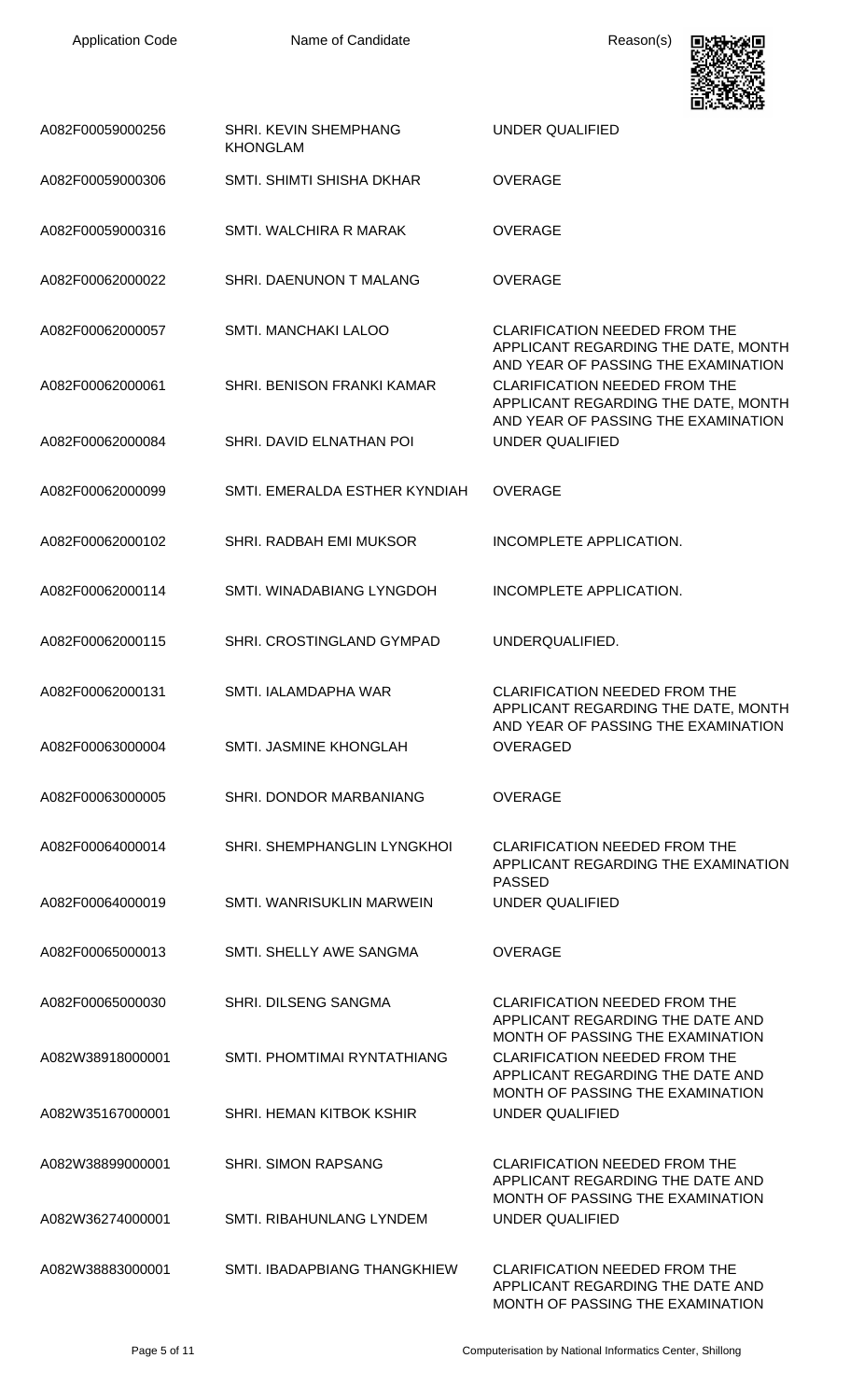

|                  |                                                 | 黒いいのでの子                                                                                                                                                   |
|------------------|-------------------------------------------------|-----------------------------------------------------------------------------------------------------------------------------------------------------------|
| A082F00059000256 | <b>SHRI. KEVIN SHEMPHANG</b><br><b>KHONGLAM</b> | <b>UNDER QUALIFIED</b>                                                                                                                                    |
| A082F00059000306 | SMTI. SHIMTI SHISHA DKHAR                       | <b>OVERAGE</b>                                                                                                                                            |
| A082F00059000316 | SMTI. WALCHIRA R MARAK                          | <b>OVERAGE</b>                                                                                                                                            |
| A082F00062000022 | SHRI. DAENUNON T MALANG                         | <b>OVERAGE</b>                                                                                                                                            |
| A082F00062000057 | <b>SMTI. MANCHAKI LALOO</b>                     | <b>CLARIFICATION NEEDED FROM THE</b><br>APPLICANT REGARDING THE DATE, MONTH                                                                               |
| A082F00062000061 | <b>SHRI, BENISON FRANKI KAMAR</b>               | AND YEAR OF PASSING THE EXAMINATION<br><b>CLARIFICATION NEEDED FROM THE</b><br>APPLICANT REGARDING THE DATE, MONTH<br>AND YEAR OF PASSING THE EXAMINATION |
| A082F00062000084 | SHRI. DAVID ELNATHAN POI                        | <b>UNDER QUALIFIED</b>                                                                                                                                    |
| A082F00062000099 | SMTI. EMERALDA ESTHER KYNDIAH                   | <b>OVERAGE</b>                                                                                                                                            |
| A082F00062000102 | SHRI. RADBAH EMI MUKSOR                         | INCOMPLETE APPLICATION.                                                                                                                                   |
| A082F00062000114 | SMTI. WINADABIANG LYNGDOH                       | INCOMPLETE APPLICATION.                                                                                                                                   |
| A082F00062000115 | SHRI. CROSTINGLAND GYMPAD                       | UNDERQUALIFIED.                                                                                                                                           |
| A082F00062000131 | SMTI. IALAMDAPHA WAR                            | <b>CLARIFICATION NEEDED FROM THE</b><br>APPLICANT REGARDING THE DATE, MONTH<br>AND YEAR OF PASSING THE EXAMINATION                                        |
| A082F00063000004 | SMTI. JASMINE KHONGLAH                          | OVERAGED                                                                                                                                                  |
| A082F00063000005 | SHRI. DONDOR MARBANIANG                         | OVERAGE                                                                                                                                                   |
| A082F00064000014 | <b>SHRI. SHEMPHANGLIN LYNGKHOI</b>              | CLARIFICATION NEEDED FROM THE<br>APPLICANT REGARDING THE EXAMINATION<br><b>PASSED</b>                                                                     |
| A082F00064000019 | SMTI. WANRISUKLIN MARWEIN                       | <b>UNDER QUALIFIED</b>                                                                                                                                    |
| A082F00065000013 | SMTI. SHELLY AWE SANGMA                         | <b>OVERAGE</b>                                                                                                                                            |
| A082F00065000030 | SHRI. DILSENG SANGMA                            | <b>CLARIFICATION NEEDED FROM THE</b><br>APPLICANT REGARDING THE DATE AND<br>MONTH OF PASSING THE EXAMINATION                                              |
| A082W38918000001 | SMTI. PHOMTIMAI RYNTATHIANG                     | <b>CLARIFICATION NEEDED FROM THE</b><br>APPLICANT REGARDING THE DATE AND                                                                                  |
| A082W35167000001 | SHRI. HEMAN KITBOK KSHIR                        | MONTH OF PASSING THE EXAMINATION<br>UNDER QUALIFIED                                                                                                       |
| A082W38899000001 | <b>SHRI. SIMON RAPSANG</b>                      | <b>CLARIFICATION NEEDED FROM THE</b><br>APPLICANT REGARDING THE DATE AND<br>MONTH OF PASSING THE EXAMINATION                                              |
| A082W36274000001 | <b>SMTI. RIBAHUNLANG LYNDEM</b>                 | UNDER QUALIFIED                                                                                                                                           |
| A082W38883000001 | SMTI, IBADAPBIANG THANGKHIEW                    | <b>CLARIFICATION NEEDED FROM THE</b><br>APPLICANT REGARDING THE DATE AND<br>MONTH OF PASSING THE EXAMINATION                                              |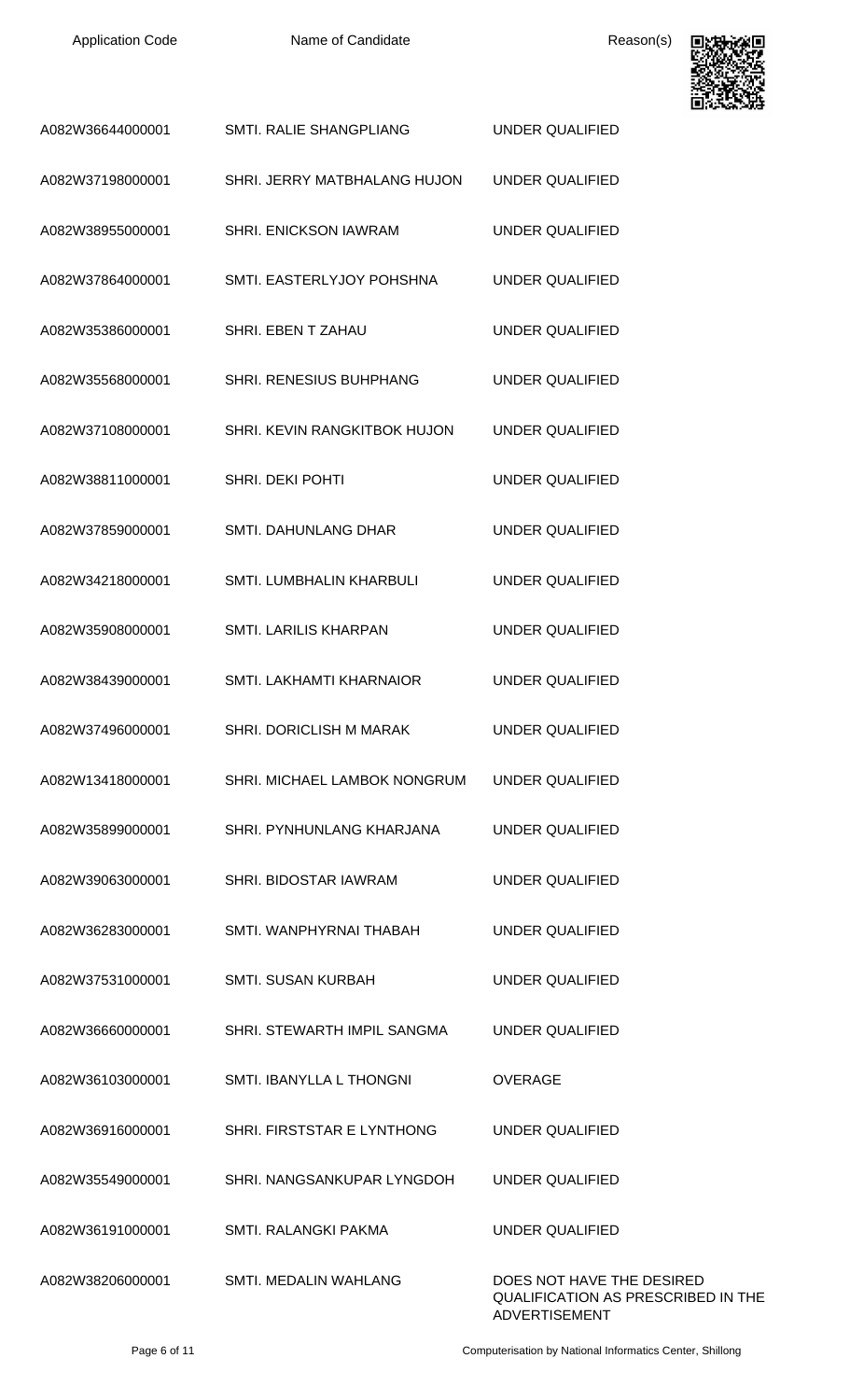

|                  |                                | 国の光の天の牙                                                         |
|------------------|--------------------------------|-----------------------------------------------------------------|
| A082W36644000001 | SMTI. RALIE SHANGPLIANG        | <b>UNDER QUALIFIED</b>                                          |
| A082W37198000001 | SHRI. JERRY MATBHALANG HUJON   | UNDER QUALIFIED                                                 |
| A082W38955000001 | SHRI. ENICKSON IAWRAM          | UNDER QUALIFIED                                                 |
| A082W37864000001 | SMTI. EASTERLYJOY POHSHNA      | UNDER QUALIFIED                                                 |
| A082W35386000001 | SHRI. EBEN T ZAHAU             | UNDER QUALIFIED                                                 |
| A082W35568000001 | <b>SHRI. RENESIUS BUHPHANG</b> | <b>UNDER QUALIFIED</b>                                          |
| A082W37108000001 | SHRI. KEVIN RANGKITBOK HUJON   | UNDER QUALIFIED                                                 |
| A082W38811000001 | SHRI. DEKI POHTI               | <b>UNDER QUALIFIED</b>                                          |
| A082W37859000001 | <b>SMTI. DAHUNLANG DHAR</b>    | <b>UNDER QUALIFIED</b>                                          |
| A082W34218000001 | SMTI. LUMBHALIN KHARBULI       | <b>UNDER QUALIFIED</b>                                          |
| A082W35908000001 | <b>SMTI. LARILIS KHARPAN</b>   | <b>UNDER QUALIFIED</b>                                          |
| A082W38439000001 | SMTI. LAKHAMTI KHARNAIOR       | UNDER QUALIFIED                                                 |
| A082W37496000001 | <b>SHRI. DORICLISH M MARAK</b> | <b>UNDER QUALIFIED</b>                                          |
| A082W13418000001 | SHRI. MICHAEL LAMBOK NONGRUM   | <b>UNDER QUALIFIED</b>                                          |
| A082W35899000001 | SHRI. PYNHUNLANG KHARJANA      | <b>UNDER QUALIFIED</b>                                          |
| A082W39063000001 | SHRI. BIDOSTAR IAWRAM          | <b>UNDER QUALIFIED</b>                                          |
| A082W36283000001 | SMTI, WANPHYRNAI THABAH        | <b>UNDER QUALIFIED</b>                                          |
| A082W37531000001 | <b>SMTI. SUSAN KURBAH</b>      | <b>UNDER QUALIFIED</b>                                          |
| A082W36660000001 | SHRI. STEWARTH IMPIL SANGMA    | <b>UNDER QUALIFIED</b>                                          |
| A082W36103000001 | SMTI. IBANYLLA L THONGNI       | <b>OVERAGE</b>                                                  |
| A082W36916000001 | SHRI. FIRSTSTAR E LYNTHONG     | <b>UNDER QUALIFIED</b>                                          |
| A082W35549000001 | SHRI. NANGSANKUPAR LYNGDOH     | <b>UNDER QUALIFIED</b>                                          |
| A082W36191000001 | <b>SMTI. RALANGKI PAKMA</b>    | <b>UNDER QUALIFIED</b>                                          |
| A082W38206000001 | SMTI. MEDALIN WAHLANG          | DOES NOT HAVE THE DESIRED<br>QUALIFICATION AS PRESCRIBED IN THE |

Page 6 of 11 **Page 6 of 11** Computerisation by National Informatics Center, Shillong

ADVERTISEMENT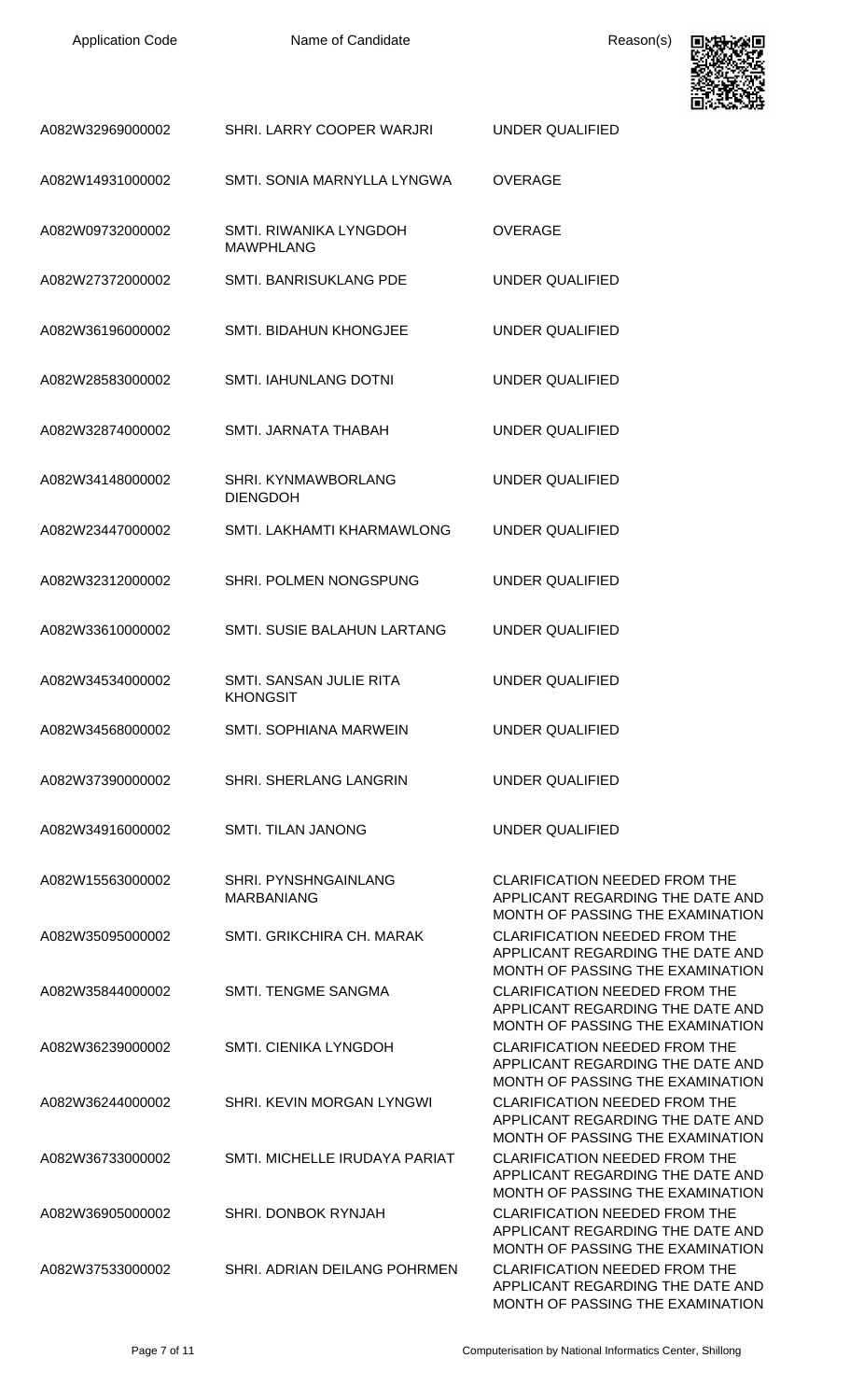

|                  |                                                  | ヒバイント・リオ                                                                                                                                         |
|------------------|--------------------------------------------------|--------------------------------------------------------------------------------------------------------------------------------------------------|
| A082W32969000002 | SHRI. LARRY COOPER WARJRI                        | <b>UNDER QUALIFIED</b>                                                                                                                           |
| A082W14931000002 | SMTI. SONIA MARNYLLA LYNGWA                      | <b>OVERAGE</b>                                                                                                                                   |
| A082W09732000002 | SMTI. RIWANIKA LYNGDOH<br><b>MAWPHLANG</b>       | <b>OVERAGE</b>                                                                                                                                   |
| A082W27372000002 | SMTI. BANRISUKLANG PDE                           | <b>UNDER QUALIFIED</b>                                                                                                                           |
| A082W36196000002 | <b>SMTI. BIDAHUN KHONGJEE</b>                    | <b>UNDER QUALIFIED</b>                                                                                                                           |
| A082W28583000002 | <b>SMTI. IAHUNLANG DOTNI</b>                     | <b>UNDER QUALIFIED</b>                                                                                                                           |
| A082W32874000002 | SMTI. JARNATA THABAH                             | <b>UNDER QUALIFIED</b>                                                                                                                           |
| A082W34148000002 | <b>SHRI. KYNMAWBORLANG</b><br><b>DIENGDOH</b>    | <b>UNDER QUALIFIED</b>                                                                                                                           |
| A082W23447000002 | SMTI. LAKHAMTI KHARMAWLONG                       | UNDER QUALIFIED                                                                                                                                  |
| A082W32312000002 | SHRI. POLMEN NONGSPUNG                           | UNDER QUALIFIED                                                                                                                                  |
| A082W33610000002 | SMTI. SUSIE BALAHUN LARTANG                      | UNDER QUALIFIED                                                                                                                                  |
| A082W34534000002 | SMTI, SANSAN JULIE RITA<br><b>KHONGSIT</b>       | UNDER QUALIFIED                                                                                                                                  |
| A082W34568000002 | <b>SMTI. SOPHIANA MARWEIN</b>                    | <b>UNDER QUALIFIED</b>                                                                                                                           |
| A082W37390000002 | SHRI. SHERLANG LANGRIN                           | <b>UNDER QUALIFIED</b>                                                                                                                           |
| A082W34916000002 | <b>SMTI. TILAN JANONG</b>                        | <b>UNDER QUALIFIED</b>                                                                                                                           |
| A082W15563000002 | <b>SHRI. PYNSHNGAINLANG</b><br><b>MARBANIANG</b> | <b>CLARIFICATION NEEDED FROM THE</b><br>APPLICANT REGARDING THE DATE AND<br>MONTH OF PASSING THE EXAMINATION                                     |
| A082W35095000002 | SMTI. GRIKCHIRA CH. MARAK                        | <b>CLARIFICATION NEEDED FROM THE</b><br>APPLICANT REGARDING THE DATE AND<br>MONTH OF PASSING THE EXAMINATION                                     |
| A082W35844000002 | <b>SMTI. TENGME SANGMA</b>                       | <b>CLARIFICATION NEEDED FROM THE</b><br>APPLICANT REGARDING THE DATE AND                                                                         |
| A082W36239000002 | <b>SMTI. CIENIKA LYNGDOH</b>                     | MONTH OF PASSING THE EXAMINATION<br><b>CLARIFICATION NEEDED FROM THE</b><br>APPLICANT REGARDING THE DATE AND                                     |
| A082W36244000002 | SHRI. KEVIN MORGAN LYNGWI                        | MONTH OF PASSING THE EXAMINATION<br><b>CLARIFICATION NEEDED FROM THE</b><br>APPLICANT REGARDING THE DATE AND                                     |
| A082W36733000002 | SMTI. MICHELLE IRUDAYA PARIAT                    | MONTH OF PASSING THE EXAMINATION<br><b>CLARIFICATION NEEDED FROM THE</b><br>APPLICANT REGARDING THE DATE AND                                     |
| A082W36905000002 | SHRI. DONBOK RYNJAH                              | MONTH OF PASSING THE EXAMINATION<br><b>CLARIFICATION NEEDED FROM THE</b><br>APPLICANT REGARDING THE DATE AND                                     |
| A082W37533000002 | SHRI. ADRIAN DEILANG POHRMEN                     | MONTH OF PASSING THE EXAMINATION<br><b>CLARIFICATION NEEDED FROM THE</b><br>APPLICANT REGARDING THE DATE AND<br>MONTH OF PASSING THE EXAMINATION |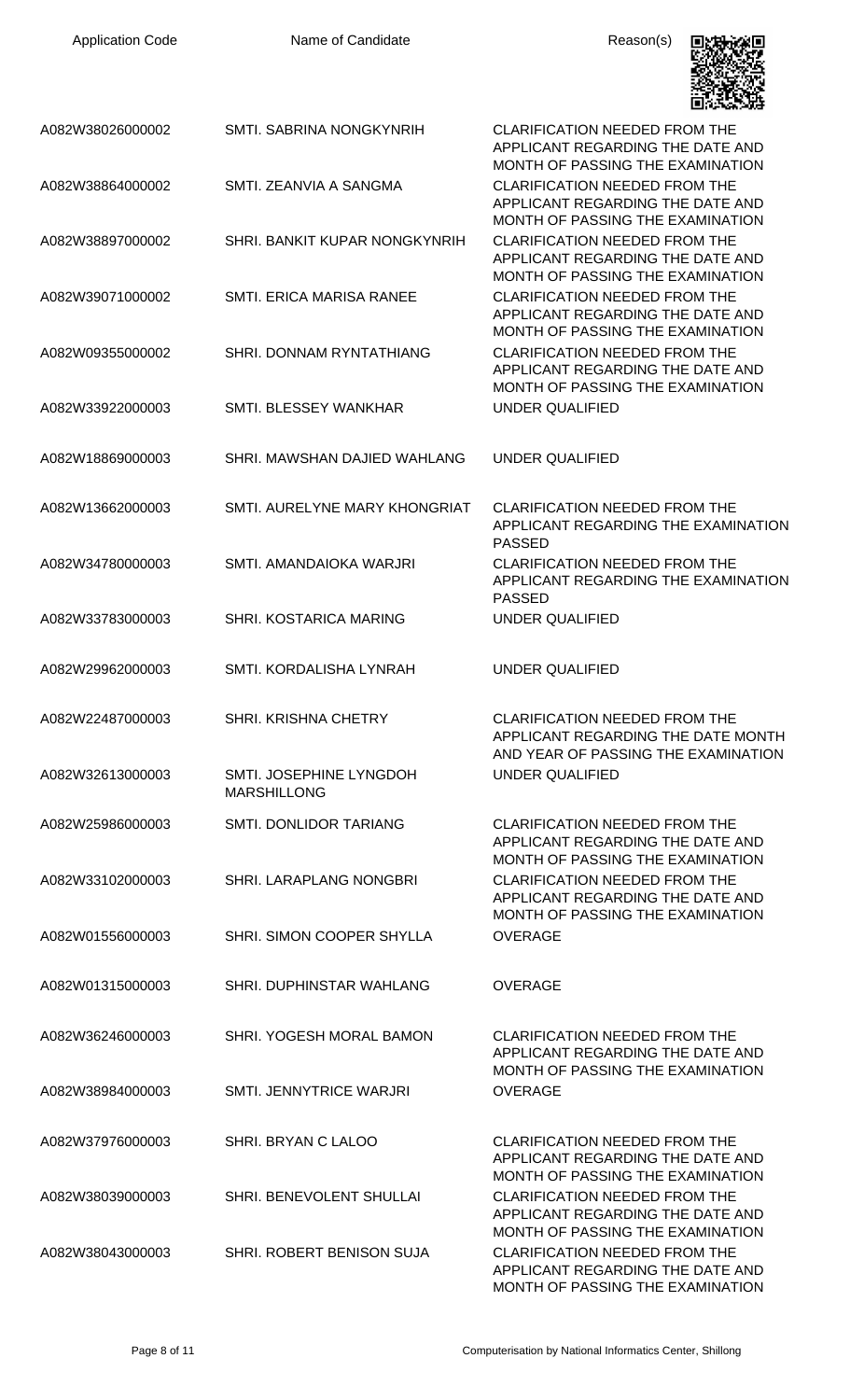| <b>Application Code</b> | Name of Candidate                             | Reason(s)                                                                                                         |
|-------------------------|-----------------------------------------------|-------------------------------------------------------------------------------------------------------------------|
| A082W38026000002        | SMTI, SABRINA NONGKYNRIH                      | <b>CLARIFICATION NEEDED FROM THE</b><br>APPLICANT REGARDING THE DATE AND<br>MONTH OF PASSING THE EXAMINATION      |
| A082W38864000002        | SMTI. ZEANVIA A SANGMA                        | <b>CLARIFICATION NEEDED FROM THE</b><br>APPLICANT REGARDING THE DATE AND<br>MONTH OF PASSING THE EXAMINATION      |
| A082W38897000002        | SHRI. BANKIT KUPAR NONGKYNRIH                 | <b>CLARIFICATION NEEDED FROM THE</b><br>APPLICANT REGARDING THE DATE AND<br>MONTH OF PASSING THE EXAMINATION      |
| A082W39071000002        | <b>SMTI. ERICA MARISA RANEE</b>               | <b>CLARIFICATION NEEDED FROM THE</b><br>APPLICANT REGARDING THE DATE AND<br>MONTH OF PASSING THE EXAMINATION      |
| A082W09355000002        | SHRI. DONNAM RYNTATHIANG                      | <b>CLARIFICATION NEEDED FROM THE</b><br>APPLICANT REGARDING THE DATE AND<br>MONTH OF PASSING THE EXAMINATION      |
| A082W33922000003        | SMTI. BLESSEY WANKHAR                         | <b>UNDER QUALIFIED</b>                                                                                            |
| A082W18869000003        | SHRI. MAWSHAN DAJIED WAHLANG                  | UNDER QUALIFIED                                                                                                   |
| A082W13662000003        | SMTI. AURELYNE MARY KHONGRIAT                 | <b>CLARIFICATION NEEDED FROM THE</b><br>APPLICANT REGARDING THE EXAMINATION<br><b>PASSED</b>                      |
| A082W34780000003        | SMTI. AMANDAIOKA WARJRI                       | <b>CLARIFICATION NEEDED FROM THE</b><br>APPLICANT REGARDING THE EXAMINATION<br><b>PASSED</b>                      |
| A082W33783000003        | SHRI. KOSTARICA MARING                        | UNDER QUALIFIED                                                                                                   |
| A082W29962000003        | SMTI. KORDALISHA LYNRAH                       | <b>UNDER QUALIFIED</b>                                                                                            |
| A082W22487000003        | <b>SHRI. KRISHNA CHETRY</b>                   | <b>CLARIFICATION NEEDED FROM THE</b><br>APPLICANT REGARDING THE DATE MONTH<br>AND YEAR OF PASSING THE EXAMINATION |
| A082W32613000003        | SMTI. JOSEPHINE LYNGDOH<br><b>MARSHILLONG</b> | <b>UNDER QUALIFIED</b>                                                                                            |
| A082W25986000003        | SMTI, DONLIDOR TARIANG                        | <b>CLARIFICATION NEEDED FROM THE</b><br>APPLICANT REGARDING THE DATE AND<br>MONTH OF PASSING THE EXAMINATION      |
| A082W33102000003        | SHRI. LARAPLANG NONGBRI                       | <b>CLARIFICATION NEEDED FROM THE</b><br>APPLICANT REGARDING THE DATE AND<br>MONTH OF PASSING THE EXAMINATION      |
| A082W01556000003        | SHRI. SIMON COOPER SHYLLA                     | <b>OVERAGE</b>                                                                                                    |
| A082W01315000003        | SHRI. DUPHINSTAR WAHLANG                      | <b>OVERAGE</b>                                                                                                    |
| A082W36246000003        | SHRI. YOGESH MORAL BAMON                      | <b>CLARIFICATION NEEDED FROM THE</b><br>APPLICANT REGARDING THE DATE AND<br>MONTH OF PASSING THE EXAMINATION      |
| A082W38984000003        | <b>SMTI. JENNYTRICE WARJRI</b>                | <b>OVERAGE</b>                                                                                                    |
| A082W37976000003        | SHRI. BRYAN C LALOO                           | <b>CLARIFICATION NEEDED FROM THE</b><br>APPLICANT REGARDING THE DATE AND<br>MONTH OF PASSING THE EXAMINATION      |
| A082W38039000003        | SHRI. BENEVOLENT SHULLAI                      | <b>CLARIFICATION NEEDED FROM THE</b><br>APPLICANT REGARDING THE DATE AND<br>MONTH OF PASSING THE EXAMINATION      |
| A082W38043000003        | SHRI. ROBERT BENISON SUJA                     | <b>CLARIFICATION NEEDED FROM THE</b><br>APPLICANT REGARDING THE DATE AND                                          |

MONTH OF PASSING THE EXAMINATION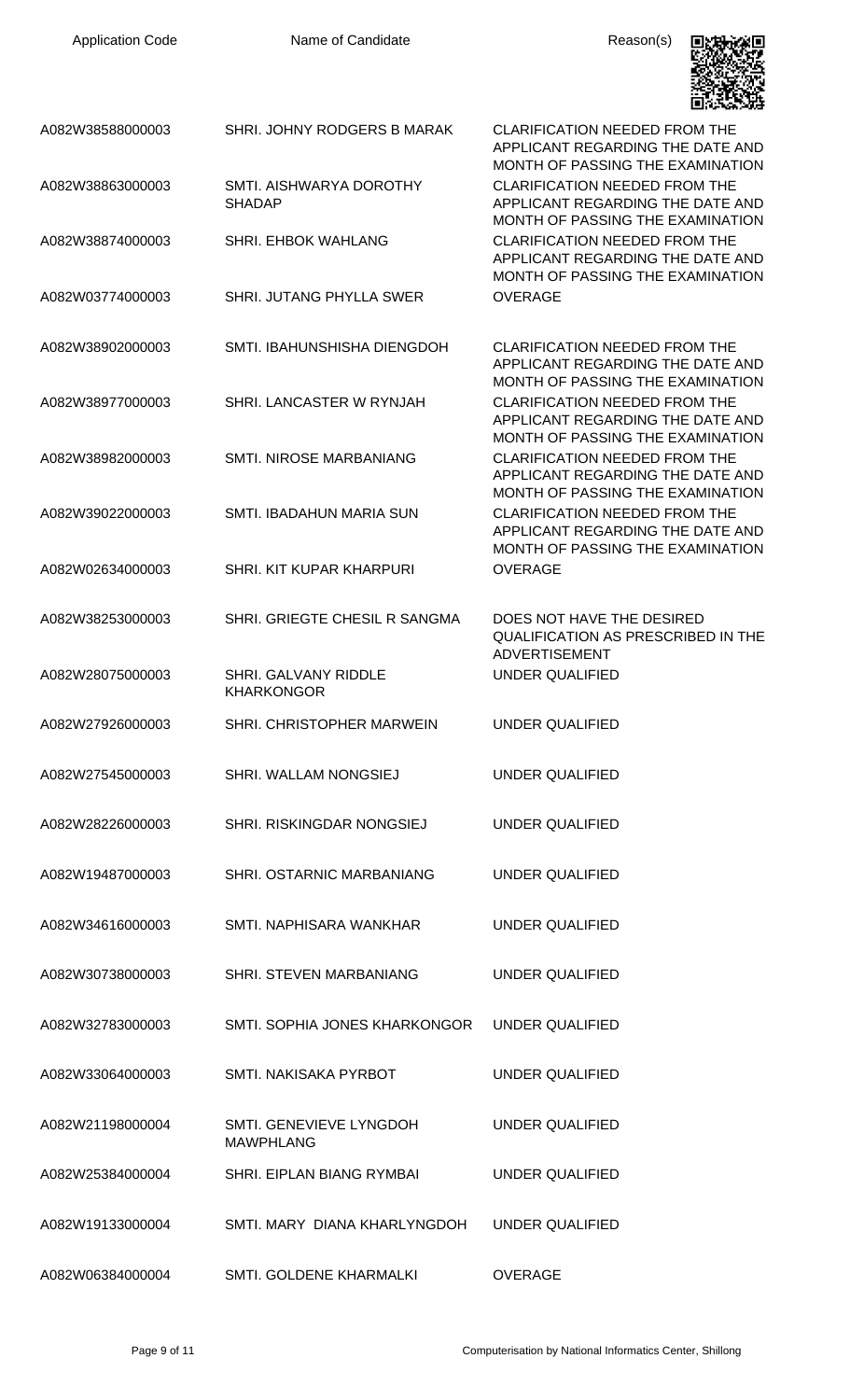Application Code **Name of Candidate Name of Candidate** Reason(s)



| A082W38588000003 | SHRI. JOHNY RODGERS B MARAK                   | <b>CLARIFICATION NEEDED FROM THE</b><br>APPLICANT REGARDING THE DATE AND<br>MONTH OF PASSING THE EXAMINATION |
|------------------|-----------------------------------------------|--------------------------------------------------------------------------------------------------------------|
| A082W38863000003 | SMTI, AISHWARYA DOROTHY<br><b>SHADAP</b>      | <b>CLARIFICATION NEEDED FROM THE</b><br>APPLICANT REGARDING THE DATE AND<br>MONTH OF PASSING THE EXAMINATION |
| A082W38874000003 | SHRI. EHBOK WAHLANG                           | <b>CLARIFICATION NEEDED FROM THE</b><br>APPLICANT REGARDING THE DATE AND<br>MONTH OF PASSING THE EXAMINATION |
| A082W03774000003 | SHRI. JUTANG PHYLLA SWER                      | <b>OVERAGE</b>                                                                                               |
| A082W38902000003 | SMTI. IBAHUNSHISHA DIENGDOH                   | <b>CLARIFICATION NEEDED FROM THE</b><br>APPLICANT REGARDING THE DATE AND<br>MONTH OF PASSING THE EXAMINATION |
| A082W38977000003 | SHRI. LANCASTER W RYNJAH                      | <b>CLARIFICATION NEEDED FROM THE</b><br>APPLICANT REGARDING THE DATE AND<br>MONTH OF PASSING THE EXAMINATION |
| A082W38982000003 | SMTI. NIROSE MARBANIANG                       | <b>CLARIFICATION NEEDED FROM THE</b><br>APPLICANT REGARDING THE DATE AND<br>MONTH OF PASSING THE EXAMINATION |
| A082W39022000003 | SMTI. IBADAHUN MARIA SUN                      | <b>CLARIFICATION NEEDED FROM THE</b><br>APPLICANT REGARDING THE DATE AND<br>MONTH OF PASSING THE EXAMINATION |
| A082W02634000003 | SHRI. KIT KUPAR KHARPURI                      | <b>OVERAGE</b>                                                                                               |
| A082W38253000003 | SHRI. GRIEGTE CHESIL R SANGMA                 | DOES NOT HAVE THE DESIRED<br>QUALIFICATION AS PRESCRIBED IN THE<br><b>ADVERTISEMENT</b>                      |
| A082W28075000003 | SHRI. GALVANY RIDDLE<br><b>KHARKONGOR</b>     | <b>UNDER QUALIFIED</b>                                                                                       |
| A082W27926000003 | SHRI. CHRISTOPHER MARWEIN                     | UNDER QUALIFIED                                                                                              |
| A082W27545000003 | SHRI. WALLAM NONGSIEJ                         | <b>UNDER QUALIFIED</b>                                                                                       |
| A082W28226000003 | SHRI. RISKINGDAR NONGSIEJ                     | UNDER QUALIFIED                                                                                              |
| A082W19487000003 | SHRI, OSTARNIC MARBANIANG                     | UNDER QUALIFIED                                                                                              |
| A082W34616000003 | SMTI. NAPHISARA WANKHAR                       | <b>UNDER QUALIFIED</b>                                                                                       |
| A082W30738000003 | SHRI. STEVEN MARBANIANG                       | <b>UNDER QUALIFIED</b>                                                                                       |
| A082W32783000003 | SMTI. SOPHIA JONES KHARKONGOR UNDER QUALIFIED |                                                                                                              |
| A082W33064000003 | SMTI. NAKISAKA PYRBOT                         | <b>UNDER QUALIFIED</b>                                                                                       |
| A082W21198000004 | SMTI. GENEVIEVE LYNGDOH<br><b>MAWPHLANG</b>   | <b>UNDER QUALIFIED</b>                                                                                       |
| A082W25384000004 | SHRI. EIPLAN BIANG RYMBAI                     | <b>UNDER QUALIFIED</b>                                                                                       |
| A082W19133000004 | SMTI, MARY DIANA KHARLYNGDOH                  | <b>UNDER QUALIFIED</b>                                                                                       |
| A082W06384000004 | SMTI. GOLDENE KHARMALKI                       | <b>OVERAGE</b>                                                                                               |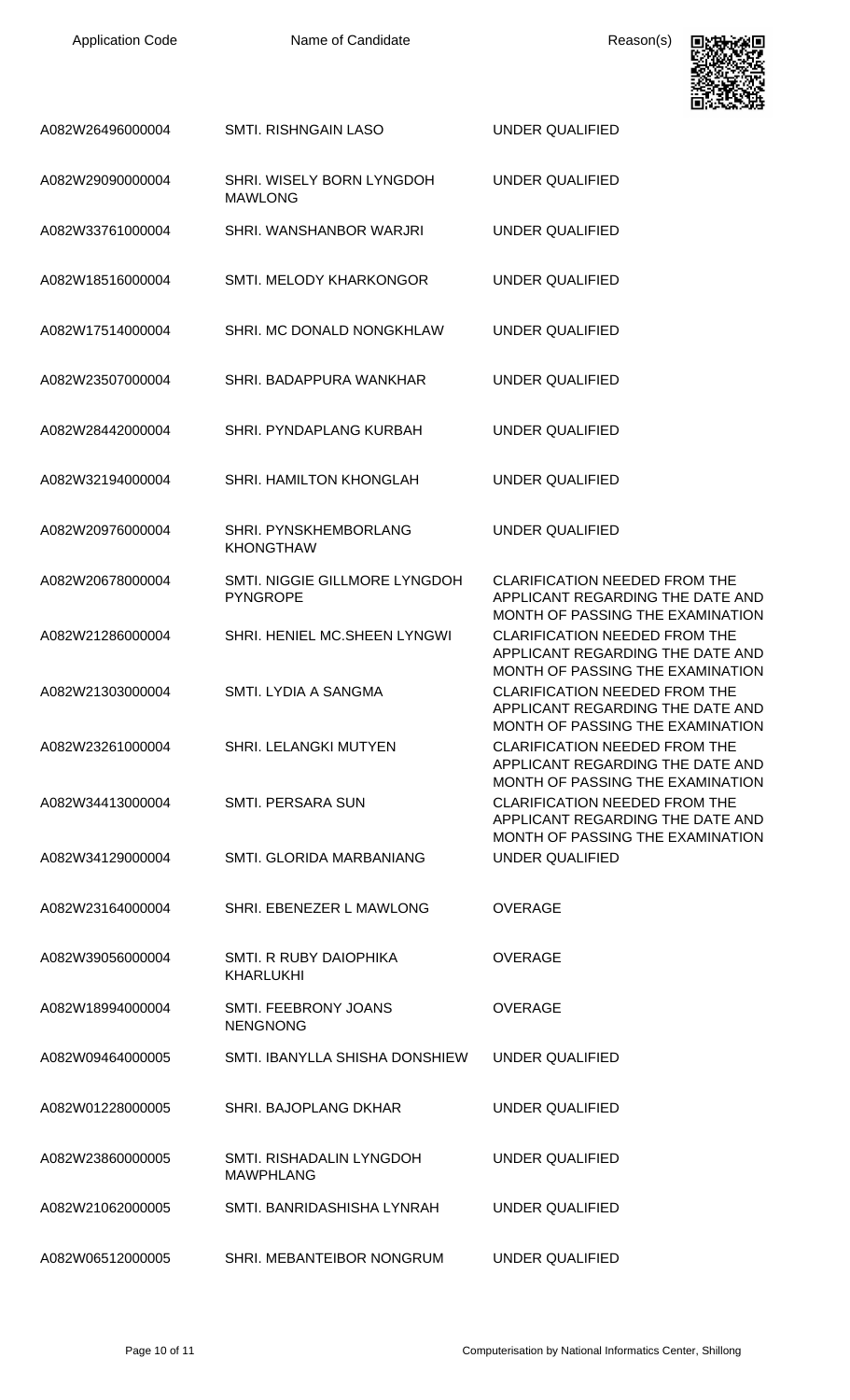

|                  |                                                  | 1月10日 2005年10月                                                                                                                                   |
|------------------|--------------------------------------------------|--------------------------------------------------------------------------------------------------------------------------------------------------|
| A082W26496000004 | <b>SMTI. RISHNGAIN LASO</b>                      | <b>UNDER QUALIFIED</b>                                                                                                                           |
| A082W29090000004 | SHRI. WISELY BORN LYNGDOH<br><b>MAWLONG</b>      | <b>UNDER QUALIFIED</b>                                                                                                                           |
| A082W33761000004 | SHRI. WANSHANBOR WARJRI                          | <b>UNDER QUALIFIED</b>                                                                                                                           |
| A082W18516000004 | SMTI. MELODY KHARKONGOR                          | <b>UNDER QUALIFIED</b>                                                                                                                           |
| A082W17514000004 | SHRI. MC DONALD NONGKHLAW                        | <b>UNDER QUALIFIED</b>                                                                                                                           |
| A082W23507000004 | SHRI. BADAPPURA WANKHAR                          | <b>UNDER QUALIFIED</b>                                                                                                                           |
| A082W28442000004 | SHRI. PYNDAPLANG KURBAH                          | <b>UNDER QUALIFIED</b>                                                                                                                           |
| A082W32194000004 | SHRI. HAMILTON KHONGLAH                          | <b>UNDER QUALIFIED</b>                                                                                                                           |
| A082W20976000004 | SHRI. PYNSKHEMBORLANG<br><b>KHONGTHAW</b>        | <b>UNDER QUALIFIED</b>                                                                                                                           |
| A082W20678000004 | SMTI. NIGGIE GILLMORE LYNGDOH<br><b>PYNGROPE</b> | <b>CLARIFICATION NEEDED FROM THE</b><br>APPLICANT REGARDING THE DATE AND<br>MONTH OF PASSING THE EXAMINATION                                     |
| A082W21286000004 | SHRI. HENIEL MC.SHEEN LYNGWI                     | <b>CLARIFICATION NEEDED FROM THE</b><br>APPLICANT REGARDING THE DATE AND                                                                         |
| A082W21303000004 | SMTI. LYDIA A SANGMA                             | MONTH OF PASSING THE EXAMINATION<br><b>CLARIFICATION NEEDED FROM THE</b><br>APPLICANT REGARDING THE DATE AND                                     |
| A082W23261000004 | <b>SHRI. LELANGKI MUTYEN</b>                     | MONTH OF PASSING THE EXAMINATION<br><b>CLARIFICATION NEEDED FROM THE</b><br>APPLICANT REGARDING THE DATE AND                                     |
| A082W34413000004 | SMTI. PERSARA SUN                                | MONTH OF PASSING THE EXAMINATION<br><b>CLARIFICATION NEEDED FROM THE</b><br>APPLICANT REGARDING THE DATE AND<br>MONTH OF PASSING THE EXAMINATION |
| A082W34129000004 | SMTI, GLORIDA MARBANIANG                         | UNDER QUALIFIED                                                                                                                                  |
| A082W23164000004 | SHRI. EBENEZER L MAWLONG                         | <b>OVERAGE</b>                                                                                                                                   |
| A082W39056000004 | SMTI. R RUBY DAIOPHIKA<br><b>KHARLUKHI</b>       | <b>OVERAGE</b>                                                                                                                                   |
| A082W18994000004 | SMTI. FEEBRONY JOANS<br><b>NENGNONG</b>          | <b>OVERAGE</b>                                                                                                                                   |
| A082W09464000005 | SMTI. IBANYLLA SHISHA DONSHIEW                   | UNDER QUALIFIED                                                                                                                                  |
| A082W01228000005 | SHRI. BAJOPLANG DKHAR                            | UNDER QUALIFIED                                                                                                                                  |
| A082W23860000005 | SMTI. RISHADALIN LYNGDOH<br><b>MAWPHLANG</b>     | UNDER QUALIFIED                                                                                                                                  |
| A082W21062000005 | SMTI. BANRIDASHISHA LYNRAH                       | UNDER QUALIFIED                                                                                                                                  |
| A082W06512000005 | SHRI. MEBANTEIBOR NONGRUM                        | UNDER QUALIFIED                                                                                                                                  |